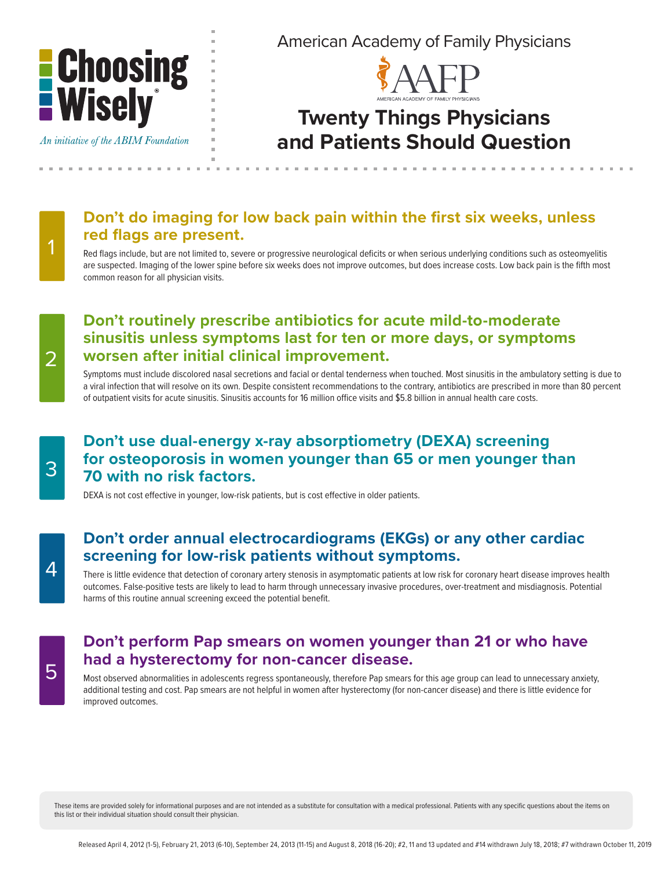

An initiative of the ABIM Foundation

American Academy of Family Physicians



## **Twenty Things Physicians and Patients Should Question**

## **Don't do imaging for low back pain within the first six weeks, unless red flags are present.**

Red flags include, but are not limited to, severe or progressive neurological deficits or when serious underlying conditions such as osteomyelitis are suspected. Imaging of the lower spine before six weeks does not improve outcomes, but does increase costs. Low back pain is the fifth most common reason for all physician visits.

## **Don't routinely prescribe antibiotics for acute mild-to-moderate sinusitis unless symptoms last for ten or more days, or symptoms worsen after initial clinical improvement.**

Symptoms must include discolored nasal secretions and facial or dental tenderness when touched. Most sinusitis in the ambulatory setting is due to a viral infection that will resolve on its own. Despite consistent recommendations to the contrary, antibiotics are prescribed in more than 80 percent of outpatient visits for acute sinusitis. Sinusitis accounts for 16 million office visits and \$5.8 billion in annual health care costs.

## **Don't use dual-energy x-ray absorptiometry (DEXA) screening for osteoporosis in women younger than 65 or men younger than 70 with no risk factors.**

DEXA is not cost effective in younger, low-risk patients, but is cost effective in older patients.

#### **Don't order annual electrocardiograms (EKGs) or any other cardiac screening for low-risk patients without symptoms.**

There is little evidence that detection of coronary artery stenosis in asymptomatic patients at low risk for coronary heart disease improves health outcomes. False-positive tests are likely to lead to harm through unnecessary invasive procedures, over-treatment and misdiagnosis. Potential harms of this routine annual screening exceed the potential benefit.

## **Don't perform Pap smears on women younger than 21 or who have had a hysterectomy for non-cancer disease.**

Most observed abnormalities in adolescents regress spontaneously, therefore Pap smears for this age group can lead to unnecessary anxiety, additional testing and cost. Pap smears are not helpful in women after hysterectomy (for non-cancer disease) and there is little evidence for improved outcomes.

These items are provided solely for informational purposes and are not intended as a substitute for consultation with a medical professional. Patients with any specific questions about the items on this list or their individual situation should consult their physician.

2

1

3

5

4

Released April 4, 2012 (1-5), February 21, 2013 (6-10), September 24, 2013 (11-15) and August 8, 2018 (16-20); #2, 11 and 13 updated and #14 withdrawn July 18, 2018; #7 withdrawn October 11, 2019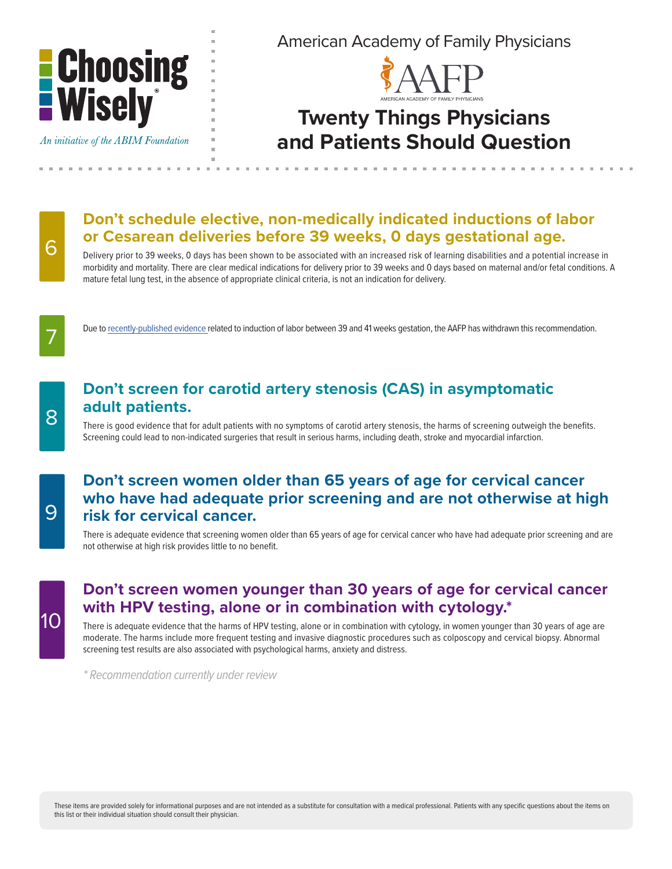

American Academy of Family Physicians



## **Twenty Things Physicians and Patients Should Question**

#### An initiative of the ABIM Foundation

8

9

10

7

6

## **Don't schedule elective, non-medically indicated inductions of labor or Cesarean deliveries before 39 weeks, 0 days gestational age.**

Delivery prior to 39 weeks, 0 days has been shown to be associated with an increased risk of learning disabilities and a potential increase in morbidity and mortality. There are clear medical indications for delivery prior to 39 weeks and 0 days based on maternal and/or fetal conditions. A mature fetal lung test, in the absence of appropriate clinical criteria, is not an indication for delivery.

Due to [recently-published evidence](https://www.nejm.org/doi/full/10.1056/NEJMoa1800566) related to induction of labor between 39 and 41 weeks gestation, the AAFP has withdrawn this recommendation.

## **Don't screen for carotid artery stenosis (CAS) in asymptomatic adult patients.**

There is good evidence that for adult patients with no symptoms of carotid artery stenosis, the harms of screening outweigh the benefits. Screening could lead to non-indicated surgeries that result in serious harms, including death, stroke and myocardial infarction.

#### **Don't screen women older than 65 years of age for cervical cancer who have had adequate prior screening and are not otherwise at high risk for cervical cancer.**

There is adequate evidence that screening women older than 65 years of age for cervical cancer who have had adequate prior screening and are not otherwise at high risk provides little to no benefit.

#### **Don't screen women younger than 30 years of age for cervical cancer with HPV testing, alone or in combination with cytology.\***

There is adequate evidence that the harms of HPV testing, alone or in combination with cytology, in women younger than 30 years of age are moderate. The harms include more frequent testing and invasive diagnostic procedures such as colposcopy and cervical biopsy. Abnormal screening test results are also associated with psychological harms, anxiety and distress.

*\* Recommendation currently under review*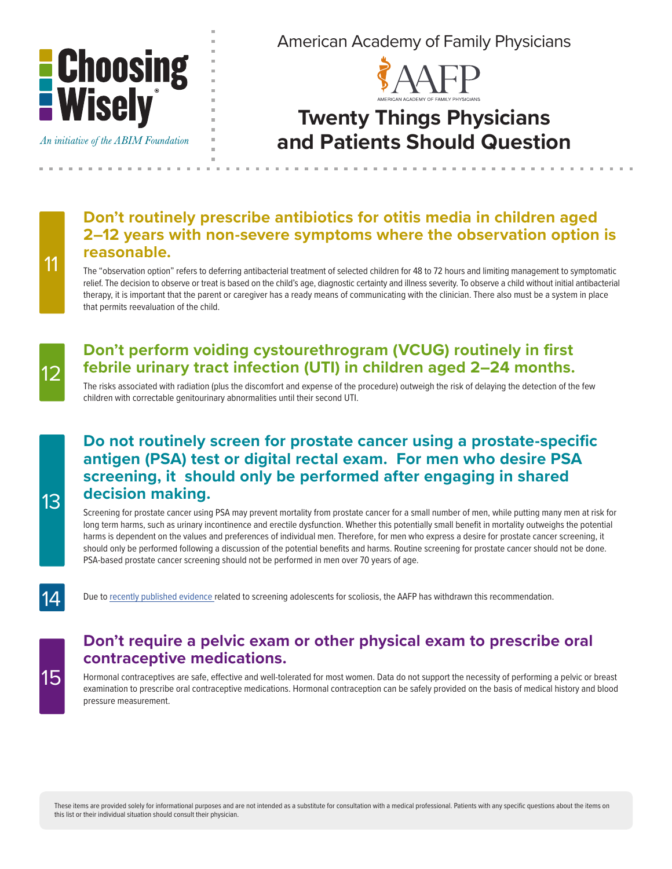

An initiative of the ABIM Foundation

13

15

14

11

12

American Academy of Family Physicians



## **Twenty Things Physicians and Patients Should Question**

## **Don't routinely prescribe antibiotics for otitis media in children aged 2–12 years with non-severe symptoms where the observation option is reasonable.**

The "observation option" refers to deferring antibacterial treatment of selected children for 48 to 72 hours and limiting management to symptomatic relief. The decision to observe or treat is based on the child's age, diagnostic certainty and illness severity. To observe a child without initial antibacterial therapy, it is important that the parent or caregiver has a ready means of communicating with the clinician. There also must be a system in place that permits reevaluation of the child.

## **Don't perform voiding cystourethrogram (VCUG) routinely in first febrile urinary tract infection (UTI) in children aged 2–24 months.**

The risks associated with radiation (plus the discomfort and expense of the procedure) outweigh the risk of delaying the detection of the few children with correctable genitourinary abnormalities until their second UTI.

## **Do not routinely screen for prostate cancer using a prostate-specific antigen (PSA) test or digital rectal exam. For men who desire PSA screening, it should only be performed after engaging in shared decision making.**

Screening for prostate cancer using PSA may prevent mortality from prostate cancer for a small number of men, while putting many men at risk for long term harms, such as urinary incontinence and erectile dysfunction. Whether this potentially small benefit in mortality outweighs the potential harms is dependent on the values and preferences of individual men. Therefore, for men who express a desire for prostate cancer screening, it should only be performed following a discussion of the potential benefits and harms. Routine screening for prostate cancer should not be done. PSA-based prostate cancer screening should not be performed in men over 70 years of age.

Due to [recently published evidence](https://www.uspreventiveservicestaskforce.org/Page/Document/UpdateSummaryFinal/adolescent-idiopathic-scoliosis-screening1) related to screening adolescents for scoliosis, the AAFP has withdrawn this recommendation.

## **Don't require a pelvic exam or other physical exam to prescribe oral contraceptive medications.**

Hormonal contraceptives are safe, effective and well-tolerated for most women. Data do not support the necessity of performing a pelvic or breast examination to prescribe oral contraceptive medications. Hormonal contraception can be safely provided on the basis of medical history and blood pressure measurement.

These items are provided solely for informational purposes and are not intended as a substitute for consultation with a medical professional. Patients with any specific questions about the items on this list or their individual situation should consult their physician.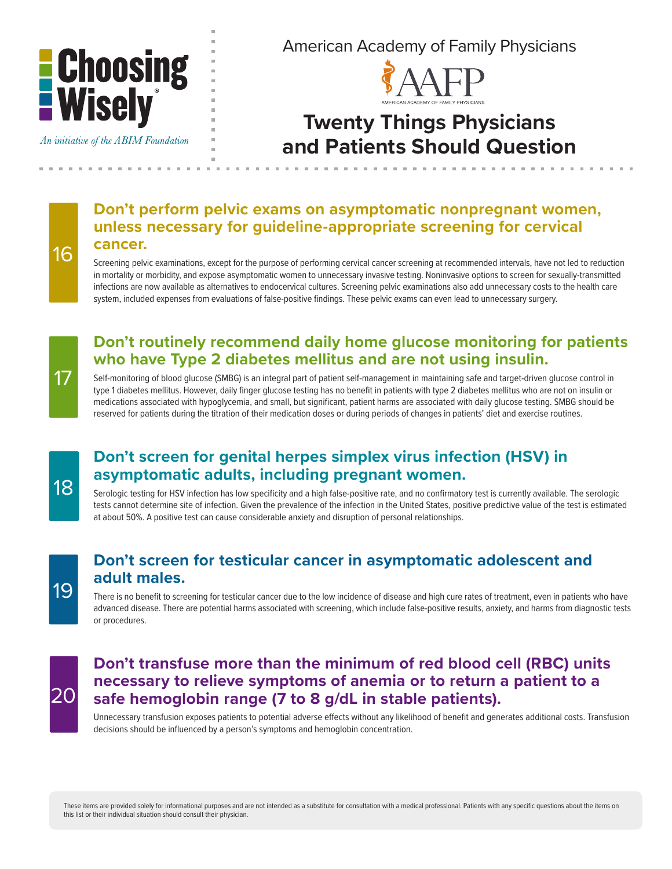

An initiative of the ABIM Foundation

American Academy of Family Physicians



## **Twenty Things Physicians and Patients Should Question**

## **Don't perform pelvic exams on asymptomatic nonpregnant women, unless necessary for guideline-appropriate screening for cervical cancer.**

Screening pelvic examinations, except for the purpose of performing cervical cancer screening at recommended intervals, have not led to reduction in mortality or morbidity, and expose asymptomatic women to unnecessary invasive testing. Noninvasive options to screen for sexually-transmitted infections are now available as alternatives to endocervical cultures. Screening pelvic examinations also add unnecessary costs to the health care system, included expenses from evaluations of false-positive findings. These pelvic exams can even lead to unnecessary surgery.

## **Don't routinely recommend daily home glucose monitoring for patients who have Type 2 diabetes mellitus and are not using insulin.**

Self-monitoring of blood glucose (SMBG) is an integral part of patient self-management in maintaining safe and target-driven glucose control in type 1 diabetes mellitus. However, daily finger glucose testing has no benefit in patients with type 2 diabetes mellitus who are not on insulin or medications associated with hypoglycemia, and small, but significant, patient harms are associated with daily glucose testing. SMBG should be reserved for patients during the titration of their medication doses or during periods of changes in patients' diet and exercise routines.

17

16

## **Don't screen for genital herpes simplex virus infection (HSV) in asymptomatic adults, including pregnant women.**

Serologic testing for HSV infection has low specificity and a high false-positive rate, and no confirmatory test is currently available. The serologic tests cannot determine site of infection. Given the prevalence of the infection in the United States, positive predictive value of the test is estimated at about 50%. A positive test can cause considerable anxiety and disruption of personal relationships.

## 19

## **Don't screen for testicular cancer in asymptomatic adolescent and adult males.**

There is no benefit to screening for testicular cancer due to the low incidence of disease and high cure rates of treatment, even in patients who have advanced disease. There are potential harms associated with screening, which include false-positive results, anxiety, and harms from diagnostic tests or procedures.

# 20

## **Don't transfuse more than the minimum of red blood cell (RBC) units necessary to relieve symptoms of anemia or to return a patient to a safe hemoglobin range (7 to 8 g/dL in stable patients).**

Unnecessary transfusion exposes patients to potential adverse effects without any likelihood of benefit and generates additional costs. Transfusion decisions should be influenced by a person's symptoms and hemoglobin concentration.

These items are provided solely for informational purposes and are not intended as a substitute for consultation with a medical professional. Patients with any specific questions about the items on this list or their individual situation should consult their physician.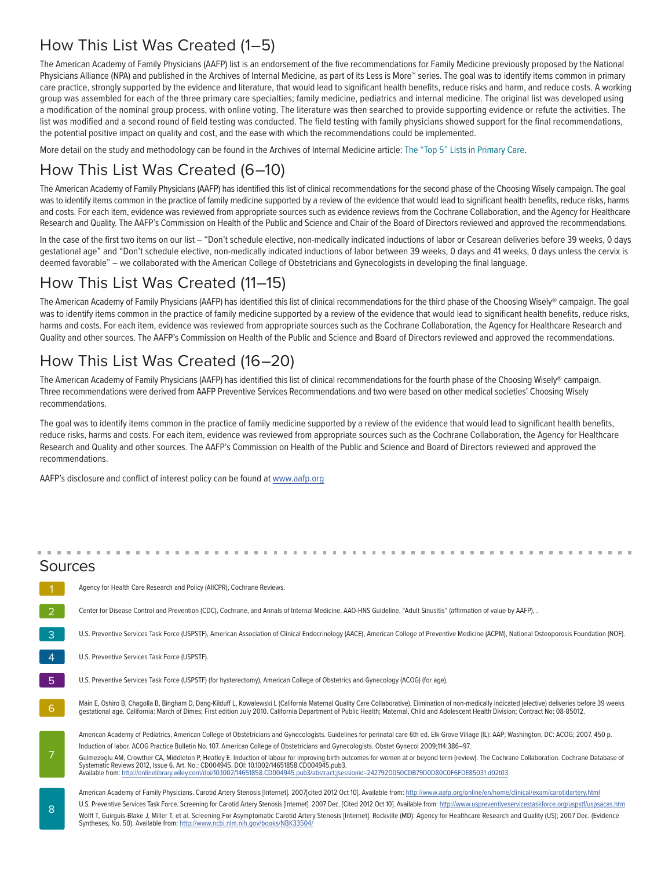## How This List Was Created (1–5)

The American Academy of Family Physicians (AAFP) list is an endorsement of the five recommendations for Family Medicine previously proposed by the National Physicians Alliance (NPA) and published in the Archives of Internal Medicine, as part of its Less is More™ series. The goal was to identify items common in primary care practice, strongly supported by the evidence and literature, that would lead to significant health benefits, reduce risks and harm, and reduce costs. A working group was assembled for each of the three primary care specialties; family medicine, pediatrics and internal medicine. The original list was developed using a modification of the nominal group process, with online voting. The literature was then searched to provide supporting evidence or refute the activities. The list was modified and a second round of field testing was conducted. The field testing with family physicians showed support for the final recommendations, the potential positive impact on quality and cost, and the ease with which the recommendations could be implemented.

More detail on the study and methodology can be found in the Archives of Internal Medicine article: [The "Top 5" Lists in Primary Care.](http://archinte.ama-assn.org/cgi/reprint/171/15/1385?maxtoshow=&hits=10&RESULTFORMAT=&fulltext=The+Top+5+Lists+in+Primary+Care&searchid=1&FIRSTINDEX=0&resourcetype=HWCIT)

## How This List Was Created (6–10)

The American Academy of Family Physicians (AAFP) has identified this list of clinical recommendations for the second phase of the Choosing Wisely campaign. The goal was to identify items common in the practice of family medicine supported by a review of the evidence that would lead to significant health benefits, reduce risks, harms and costs. For each item, evidence was reviewed from appropriate sources such as evidence reviews from the Cochrane Collaboration, and the Agency for Healthcare Research and Quality. The AAFP's Commission on Health of the Public and Science and Chair of the Board of Directors reviewed and approved the recommendations.

In the case of the first two items on our list – "Don't schedule elective, non-medically indicated inductions of labor or Cesarean deliveries before 39 weeks, 0 days gestational age" and "Don't schedule elective, non-medically indicated inductions of labor between 39 weeks, 0 days and 41 weeks, 0 days unless the cervix is deemed favorable" – we collaborated with the American College of Obstetricians and Gynecologists in developing the final language.

## How This List Was Created (11–15)

The American Academy of Family Physicians (AAFP) has identified this list of clinical recommendations for the third phase of the Choosing Wisely® campaign. The goal was to identify items common in the practice of family medicine supported by a review of the evidence that would lead to significant health benefits, reduce risks, harms and costs. For each item, evidence was reviewed from appropriate sources such as the Cochrane Collaboration, the Agency for Healthcare Research and Quality and other sources. The AAFP's Commission on Health of the Public and Science and Board of Directors reviewed and approved the recommendations.

## How This List Was Created (16–20)

The American Academy of Family Physicians (AAFP) has identified this list of clinical recommendations for the fourth phase of the Choosing Wisely® campaign. Three recommendations were derived from AAFP Preventive Services Recommendations and two were based on other medical societies' Choosing Wisely recommendations.

The goal was to identify items common in the practice of family medicine supported by a review of the evidence that would lead to significant health benefits, reduce risks, harms and costs. For each item, evidence was reviewed from appropriate sources such as the Cochrane Collaboration, the Agency for Healthcare Research and Quality and other sources. The AAFP's Commission on Health of the Public and Science and Board of Directors reviewed and approved the recommendations.

AAFP's disclosure and conflict of interest policy can be found at [www.aafp.org](http://www.aafp.org.)

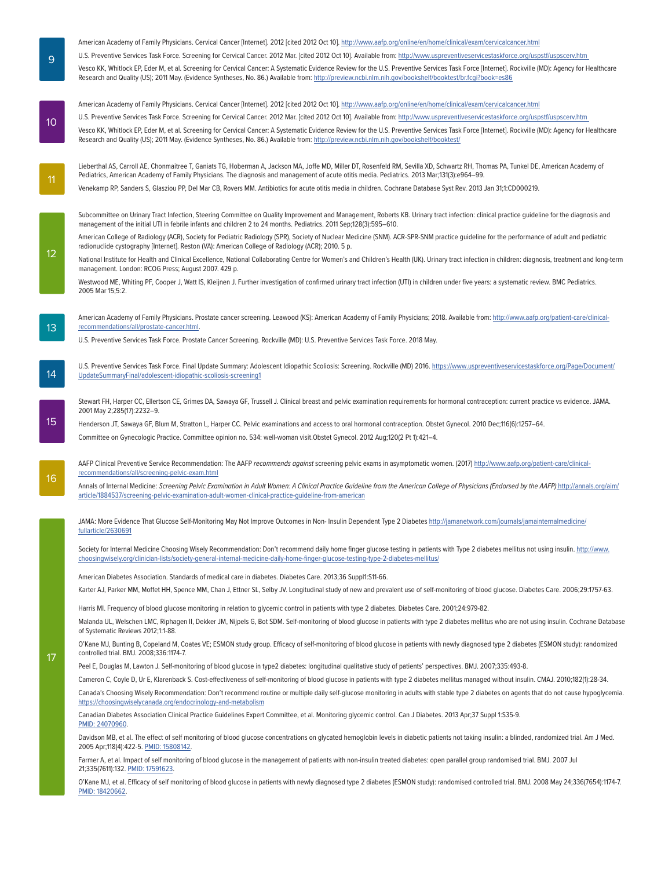U.S. Preventive Services Task Force. Screening for Cervical Cancer. 2012 Mar. [cited 2012 Oct 10]. Available from: [http://www.uspreventiveservicestaskforce.org/uspstf/uspscerv.htm](http://www.uspreventiveservicestaskforce.org/uspstf/uspscerv.htm )  Vesco KK, Whitlock EP, Eder M, et al. Screening for Cervical Cancer: A Systematic Evidence Review for the U.S. Preventive Services Task Force [Internet]. Rockville (MD): Agency for Healthcare Research and Quality (US); 2011 May. (Evidence Syntheses, No. 86.) Available from:<http://preview.ncbi.nlm.nih.gov/bookshelf/booktest/br.fcgi?book=es86> American Academy of Family Physicians. Cervical Cancer [Internet]. 2012 [cited 2012 Oct 10].<http://www.aafp.org/online/en/home/clinical/exam/cervicalcancer.html> U.S. Preventive Services Task Force. Screening for Cervical Cancer. 2012 Mar. [cited 2012 Oct 10]. Available from: [http://www.uspreventiveservicestaskforce.org/uspstf/uspscerv.htm](http://www.uspreventiveservicestaskforce.org/uspstf/uspscerv.htm )  Vesco KK, Whitlock EP, Eder M, et al. Screening for Cervical Cancer: A Systematic Evidence Review for the U.S. Preventive Services Task Force [Internet]. Rockville (MD): Agency for Healthcare Research and Quality (US); 2011 May. (Evidence Syntheses, No. 86.) Available from:<http://preview.ncbi.nlm.nih.gov/bookshelf/booktest/> Lieberthal AS, Carroll AE, Chonmaitree T, Ganiats TG, Hoberman A, Jackson MA, Joffe MD, Miller DT, Rosenfeld RM, Sevilla XD, Schwartz RH, Thomas PA, Tunkel DE, American Academy of Pediatrics, American Academy of Family Physicians. The diagnosis and management of acute otitis media. Pediatrics. 2013 Mar;131(3):e964–99. Venekamp RP, Sanders S, Glasziou PP, Del Mar CB, Rovers MM. Antibiotics for acute otitis media in children. Cochrane Database Syst Rev. 2013 Jan 31;1:CD000219. Subcommittee on Urinary Tract Infection, Steering Committee on Quality Improvement and Management, Roberts KB. Urinary tract infection: clinical practice guideline for the diagnosis and management of the initial UTI in febrile infants and children 2 to 24 months. Pediatrics. 2011 Sep;128(3):595–610. American College of Radiology (ACR), Society for Pediatric Radiology (SPR), Society of Nuclear Medicine (SNM). ACR-SPR-SNM practice guideline for the performance of adult and pediatric radionuclide cystography [Internet]. Reston (VA): American College of Radiology (ACR); 2010. 5 p. National Institute for Health and Clinical Excellence, National Collaborating Centre for Women's and Children's Health (UK). Urinary tract infection in children: diagnosis, treatment and long-term management. London: RCOG Press; August 2007. 429 p. Westwood ME, Whiting PF, Cooper J, Watt IS, Kleijnen J. Further investigation of confirmed urinary tract infection (UTI) in children under five years: a systematic review. BMC Pediatrics. 2005 Mar 15;5:2. American Academy of Family Physicians. Prostate cancer screening. Leawood (KS): American Academy of Family Physicians; 2018. Available from: [http://www.aafp.org/patient-care/clinical](http://www.aafp.org/patient-care/clinical-recommendations/all/prostate-cancer.html)[recommendations/all/prostate-cancer.html.](http://www.aafp.org/patient-care/clinical-recommendations/all/prostate-cancer.html) U.S. Preventive Services Task Force. Prostate Cancer Screening. Rockville (MD): U.S. Preventive Services Task Force. 2018 May. U.S. Preventive Services Task Force. Final Update Summary: Adolescent Idiopathic Scoliosis: Screening. Rockville (MD) 2016. [https://www.uspreventiveservicestaskforce.org/Page/Document/](https://www.uspreventiveservicestaskforce.org/Page/Document/UpdateSummaryFinal/adolescent-idiopathic-scoliosis-screening1) [UpdateSummaryFinal/adolescent-idiopathic-scoliosis-screening1](https://www.uspreventiveservicestaskforce.org/Page/Document/UpdateSummaryFinal/adolescent-idiopathic-scoliosis-screening1) Stewart FH, Harper CC, Ellertson CE, Grimes DA, Sawaya GF, Trussell J. Clinical breast and pelvic examination requirements for hormonal contraception: current practice vs evidence. JAMA. 2001 May 2;285(17):2232–9. Henderson JT, Sawaya GF, Blum M, Stratton L, Harper CC. Pelvic examinations and access to oral hormonal contraception. Obstet Gynecol. 2010 Dec;116(6):1257–64. Committee on Gynecologic Practice. Committee opinion no. 534: well-woman visit.Obstet Gynecol. 2012 Aug;120(2 Pt 1):421–4. AAFP Clinical Preventive Service Recommendation: The AAFP *recommends against* screening pelvic exams in asymptomatic women. (2017) [http://www.aafp.org/patient-care/clinical](http://www.aafp.org/patient-care/clinical-recommendations/all/screening-pelvic-exam.html)[recommendations/all/screening-pelvic-exam.html](http://www.aafp.org/patient-care/clinical-recommendations/all/screening-pelvic-exam.html) Annals of Internal Medicine: *Screening Pelvic Examination in Adult Women: A Clinical Practice Guideline from the American College of Physicians (Endorsed by the AAFP)* [http://annals.org/aim/]( http://annals.org/aim/article/1884537/screening-pelvic-examination-adult-women-clinical-practice-guideline-from-american) [article/1884537/screening-pelvic-examination-adult-women-clinical-practice-guideline-from-american]( http://annals.org/aim/article/1884537/screening-pelvic-examination-adult-women-clinical-practice-guideline-from-american) JAMA: More Evidence That Glucose Self-Monitoring May Not Improve Outcomes in Non-Insulin Dependent Type 2 Diabetes [http://jamanetwork.com/journals/jamainternalmedicine/](http://jamanetwork.com/journals/jamainternalmedicine/fullarticle/2630691) [fullarticle/2630691](http://jamanetwork.com/journals/jamainternalmedicine/fullarticle/2630691) Society for Internal Medicine Choosing Wisely Recommendation: Don't recommend daily home finger glucose testing in patients with Type 2 diabetes mellitus not using insulin. [http://www.](http://www.choosingwisely.org/clinician-lists/society-general-internal-medicine-daily-home-finger-glucose-testing-type-2-diabetes-mellitus/) [choosingwisely.org/clinician-lists/society-general-internal-medicine-daily-home-finger-glucose-testing-type-2-diabetes-mellitus/](http://www.choosingwisely.org/clinician-lists/society-general-internal-medicine-daily-home-finger-glucose-testing-type-2-diabetes-mellitus/) American Diabetes Association. Standards of medical care in diabetes. Diabetes Care. 2013;36 Suppl1:S11-66. Karter AJ, Parker MM, Moffet HH, Spence MM, Chan J, Ettner SL, Selby JV. Longitudinal study of new and prevalent use of self-monitoring of blood glucose. Diabetes Care. 2006;29:1757-63. Harris MI. Frequency of blood glucose monitoring in relation to glycemic control in patients with type 2 diabetes. Diabetes Care. 2001;24:979-82. Malanda UL, Welschen LMC, Riphagen II, Dekker JM, Nijpels G, Bot SDM. Self-monitoring of blood glucose in patients with type 2 diabetes mellitus who are not using insulin. Cochrane Database of Systematic Reviews 2012;1:1-88. O'Kane MJ, Bunting B, Copeland M, Coates VE; ESMON study group. Efficacy of self-monitoring of blood glucose in patients with newly diagnosed type 2 diabetes (ESMON study): randomized controlled trial. BMJ. 2008;336:1174-7. Peel E, Douglas M, Lawton J. Self-monitoring of blood glucose in type2 diabetes: longitudinal qualitative study of patients' perspectives. BMJ. 2007;335:493-8. Cameron C, Coyle D, Ur E, Klarenback S. Cost-effectiveness of self-monitoring of blood glucose in patients with type 2 diabetes mellitus managed without insulin. CMAJ. 2010;182(1):28-34. Canada's Choosing Wisely Recommendation: Don't recommend routine or multiple daily self-glucose monitoring in adults with stable type 2 diabetes on agents that do not cause hypoglycemia. <https://choosingwiselycanada.org/endocrinology-and-metabolism> Canadian Diabetes Association Clinical Practice Guidelines Expert Committee, et al. Monitoring glycemic control. Can J Diabetes. 2013 Apr;37 Suppl 1:S35-9. [PMID: 24070960](https://www.ncbi.nlm.nih.gov/pubmed/24070960). Davidson MB, et al. The effect of self monitoring of blood glucose concentrations on glycated hemoglobin levels in diabetic patients not taking insulin: a blinded, randomized trial. Am J Med. 2005 Apr;118(4):422-5. [PMID: 15808142.](https://www.ncbi.nlm.nih.gov/pubmed/15808142) Farmer A, et al. Impact of self monitoring of blood glucose in the management of patients with non-insulin treated diabetes: open parallel group randomised trial. BMJ. 2007 Jul 21;335(7611):132. [PMID: 17591623.](https://www.ncbi.nlm.nih.gov/pubmed/17591623) O'Kane MJ, et al. Efficacy of self monitoring of blood glucose in patients with newly diagnosed type 2 diabetes (ESMON study): randomised controlled trial. BMJ. 2008 May 24;336(7654):1174-7. 13 14 15 11 12 16 17 9 10

[PMID: 18420662](https://www.ncbi.nlm.nih.gov/pubmed/18420662).

American Academy of Family Physicians. Cervical Cancer [Internet]. 2012 [cited 2012 Oct 10].<http://www.aafp.org/online/en/home/clinical/exam/cervicalcancer.html>